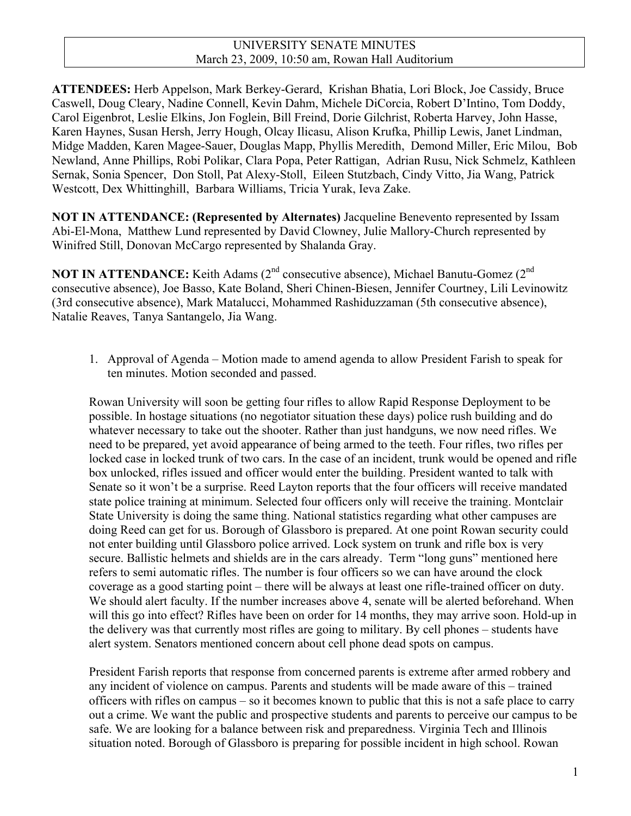**ATTENDEES:** Herb Appelson, Mark Berkey-Gerard, Krishan Bhatia, Lori Block, Joe Cassidy, Bruce Caswell, Doug Cleary, Nadine Connell, Kevin Dahm, Michele DiCorcia, Robert D'Intino, Tom Doddy, Carol Eigenbrot, Leslie Elkins, Jon Foglein, Bill Freind, Dorie Gilchrist, Roberta Harvey, John Hasse, Karen Haynes, Susan Hersh, Jerry Hough, Olcay Ilicasu, Alison Krufka, Phillip Lewis, Janet Lindman, Midge Madden, Karen Magee-Sauer, Douglas Mapp, Phyllis Meredith, Demond Miller, Eric Milou, Bob Newland, Anne Phillips, Robi Polikar, Clara Popa, Peter Rattigan, Adrian Rusu, Nick Schmelz, Kathleen Sernak, Sonia Spencer, Don Stoll, Pat Alexy-Stoll, Eileen Stutzbach, Cindy Vitto, Jia Wang, Patrick Westcott, Dex Whittinghill, Barbara Williams, Tricia Yurak, Ieva Zake.

**NOT IN ATTENDANCE: (Represented by Alternates)** Jacqueline Benevento represented by Issam Abi-El-Mona, Matthew Lund represented by David Clowney, Julie Mallory-Church represented by Winifred Still, Donovan McCargo represented by Shalanda Gray.

**NOT IN ATTENDANCE:** Keith Adams (2<sup>nd</sup> consecutive absence), Michael Banutu-Gomez (2<sup>nd</sup>) consecutive absence), Joe Basso, Kate Boland, Sheri Chinen-Biesen, Jennifer Courtney, Lili Levinowitz (3rd consecutive absence), Mark Matalucci, Mohammed Rashiduzzaman (5th consecutive absence), Natalie Reaves, Tanya Santangelo, Jia Wang.

1. Approval of Agenda – Motion made to amend agenda to allow President Farish to speak for ten minutes. Motion seconded and passed.

Rowan University will soon be getting four rifles to allow Rapid Response Deployment to be possible. In hostage situations (no negotiator situation these days) police rush building and do whatever necessary to take out the shooter. Rather than just handguns, we now need rifles. We need to be prepared, yet avoid appearance of being armed to the teeth. Four rifles, two rifles per locked case in locked trunk of two cars. In the case of an incident, trunk would be opened and rifle box unlocked, rifles issued and officer would enter the building. President wanted to talk with Senate so it won't be a surprise. Reed Layton reports that the four officers will receive mandated state police training at minimum. Selected four officers only will receive the training. Montclair State University is doing the same thing. National statistics regarding what other campuses are doing Reed can get for us. Borough of Glassboro is prepared. At one point Rowan security could not enter building until Glassboro police arrived. Lock system on trunk and rifle box is very secure. Ballistic helmets and shields are in the cars already. Term "long guns" mentioned here refers to semi automatic rifles. The number is four officers so we can have around the clock coverage as a good starting point – there will be always at least one rifle-trained officer on duty. We should alert faculty. If the number increases above 4, senate will be alerted beforehand. When will this go into effect? Rifles have been on order for 14 months, they may arrive soon. Hold-up in the delivery was that currently most rifles are going to military. By cell phones – students have alert system. Senators mentioned concern about cell phone dead spots on campus.

President Farish reports that response from concerned parents is extreme after armed robbery and any incident of violence on campus. Parents and students will be made aware of this – trained officers with rifles on campus – so it becomes known to public that this is not a safe place to carry out a crime. We want the public and prospective students and parents to perceive our campus to be safe. We are looking for a balance between risk and preparedness. Virginia Tech and Illinois situation noted. Borough of Glassboro is preparing for possible incident in high school. Rowan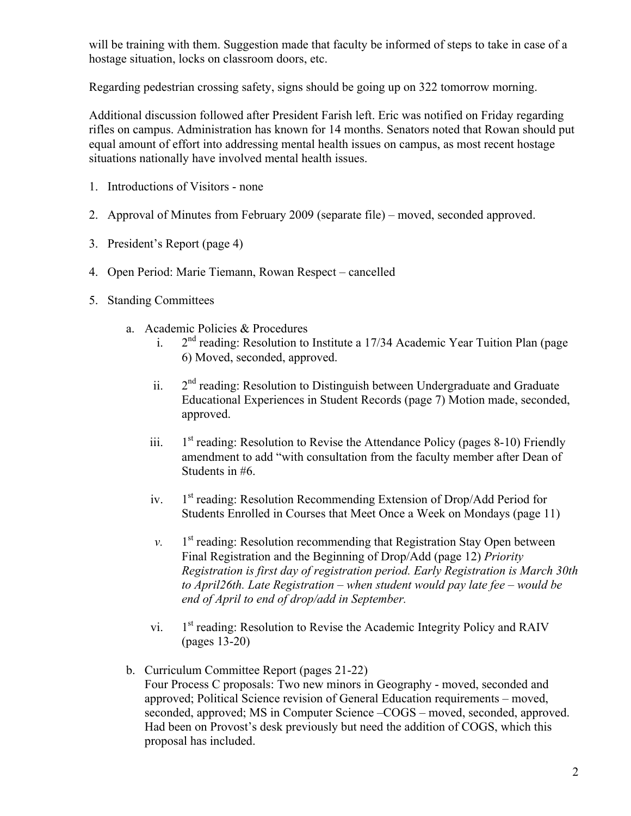will be training with them. Suggestion made that faculty be informed of steps to take in case of a hostage situation, locks on classroom doors, etc.

Regarding pedestrian crossing safety, signs should be going up on 322 tomorrow morning.

Additional discussion followed after President Farish left. Eric was notified on Friday regarding rifles on campus. Administration has known for 14 months. Senators noted that Rowan should put equal amount of effort into addressing mental health issues on campus, as most recent hostage situations nationally have involved mental health issues.

- 1. Introductions of Visitors none
- 2. Approval of Minutes from February 2009 (separate file) moved, seconded approved.
- 3. President's Report (page 4)
- 4. Open Period: Marie Tiemann, Rowan Respect cancelled
- 5. Standing Committees
	- a. Academic Policies & Procedures

proposal has included.

- i.  $2<sup>nd</sup>$  reading: Resolution to Institute a 17/34 Academic Year Tuition Plan (page 6) Moved, seconded, approved.
- ii.  $2<sup>nd</sup>$  reading: Resolution to Distinguish between Undergraduate and Graduate Educational Experiences in Student Records (page 7) Motion made, seconded, approved.
- iii.  $1<sup>st</sup>$  reading: Resolution to Revise the Attendance Policy (pages 8-10) Friendly amendment to add "with consultation from the faculty member after Dean of Students in #6.
- iv.  $1<sup>st</sup>$  reading: Resolution Recommending Extension of Drop/Add Period for Students Enrolled in Courses that Meet Once a Week on Mondays (page 11)
- $v.$  1<sup>st</sup> reading: Resolution recommending that Registration Stay Open between Final Registration and the Beginning of Drop/Add (page 12) *Priority Registration is first day of registration period. Early Registration is March 30th to April26th. Late Registration – when student would pay late fee – would be end of April to end of drop/add in September.*
- vi. 1st reading: Resolution to Revise the Academic Integrity Policy and RAIV (pages 13-20)
- b. Curriculum Committee Report (pages 21-22) Four Process C proposals: Two new minors in Geography - moved, seconded and approved; Political Science revision of General Education requirements – moved, seconded, approved; MS in Computer Science –COGS – moved, seconded, approved. Had been on Provost's desk previously but need the addition of COGS, which this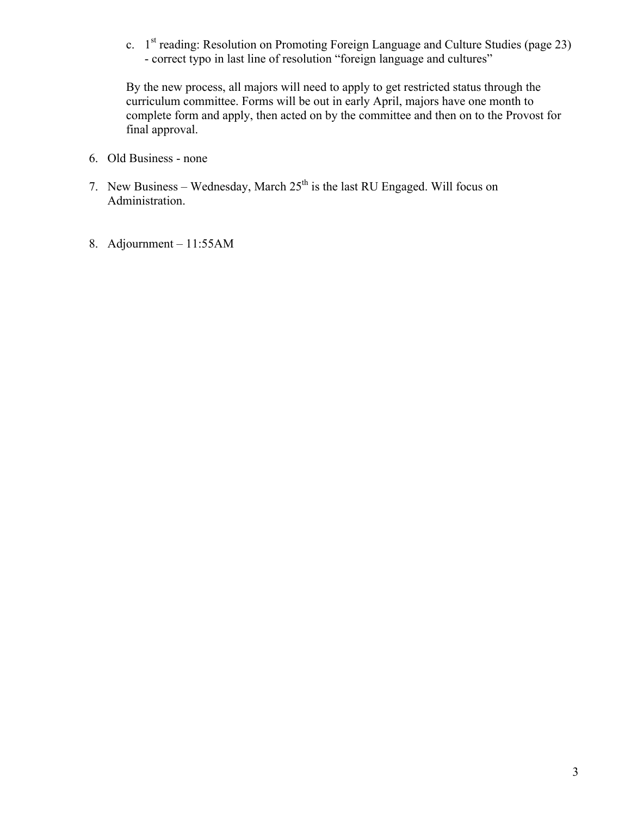c. 1st reading: Resolution on Promoting Foreign Language and Culture Studies (page 23) - correct typo in last line of resolution "foreign language and cultures"

By the new process, all majors will need to apply to get restricted status through the curriculum committee. Forms will be out in early April, majors have one month to complete form and apply, then acted on by the committee and then on to the Provost for final approval.

- 6. Old Business none
- 7. New Business Wednesday, March  $25<sup>th</sup>$  is the last RU Engaged. Will focus on Administration.
- 8. Adjournment 11:55AM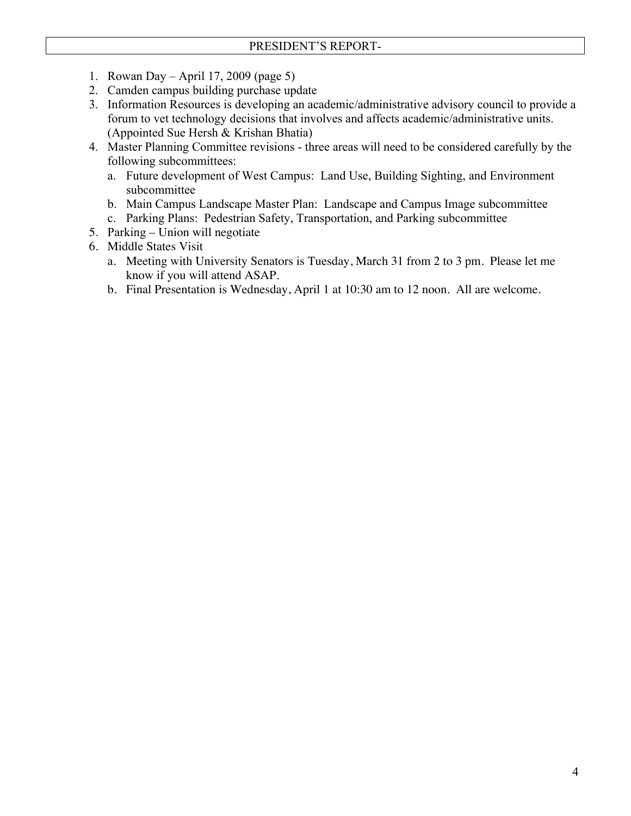- 1. Rowan Day April 17, 2009 (page 5)
- 2. Camden campus building purchase update
- 3. Information Resources is developing an academic/administrative advisory council to provide a forum to vet technology decisions that involves and affects academic/administrative units. (Appointed Sue Hersh & Krishan Bhatia)
- 4. Master Planning Committee revisions three areas will need to be considered carefully by the following subcommittees:
	- a. Future development of West Campus: Land Use, Building Sighting, and Environment subcommittee
	- b. Main Campus Landscape Master Plan: Landscape and Campus Image subcommittee
	- c. Parking Plans: Pedestrian Safety, Transportation, and Parking subcommittee
- 5. Parking Union will negotiate
- 6. Middle States Visit
	- a. Meeting with University Senators is Tuesday, March 31 from 2 to 3 pm. Please let me know if you will attend ASAP.
	- b. Final Presentation is Wednesday, April 1 at 10:30 am to 12 noon. All are welcome.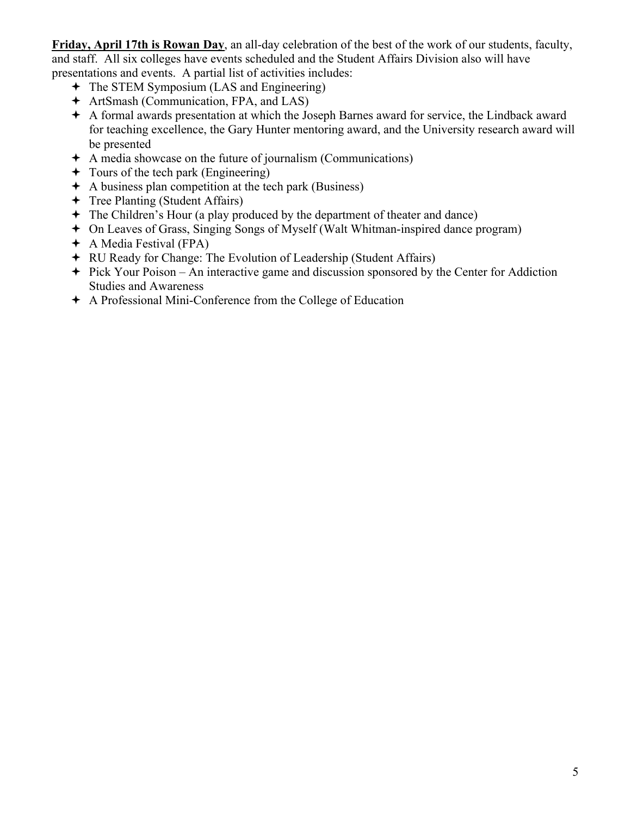**Friday, April 17th is Rowan Day**, an all-day celebration of the best of the work of our students, faculty, and staff. All six colleges have events scheduled and the Student Affairs Division also will have presentations and events. A partial list of activities includes:

- The STEM Symposium (LAS and Engineering)
- ArtSmash (Communication, FPA, and LAS)
- A formal awards presentation at which the Joseph Barnes award for service, the Lindback award for teaching excellence, the Gary Hunter mentoring award, and the University research award will be presented
- A media showcase on the future of journalism (Communications)
- $\rightarrow$  Tours of the tech park (Engineering)
- $\div$  A business plan competition at the tech park (Business)
- Tree Planting (Student Affairs)
- The Children's Hour (a play produced by the department of theater and dance)
- On Leaves of Grass, Singing Songs of Myself (Walt Whitman-inspired dance program)
- A Media Festival (FPA)
- RU Ready for Change: The Evolution of Leadership (Student Affairs)
- $\div$  Pick Your Poison An interactive game and discussion sponsored by the Center for Addiction Studies and Awareness
- A Professional Mini-Conference from the College of Education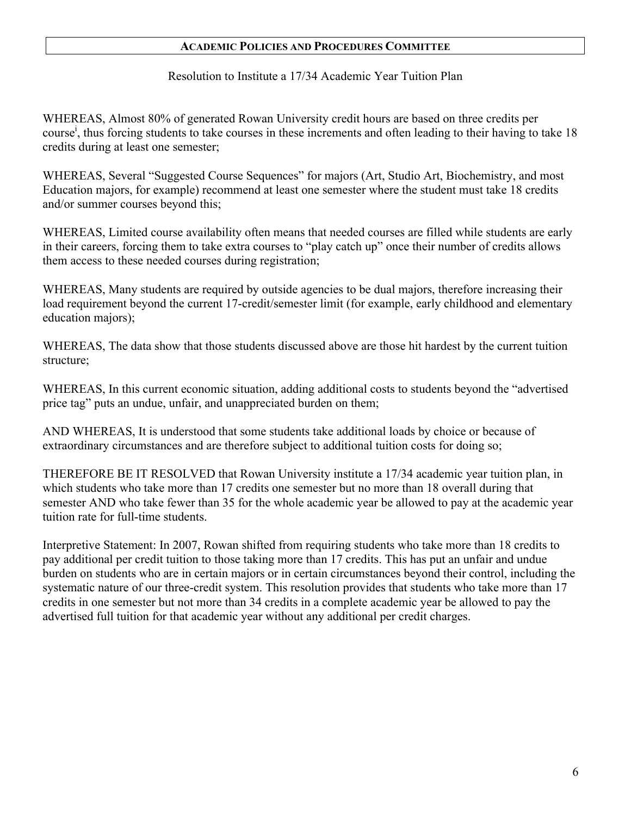Resolution to Institute a 17/34 Academic Year Tuition Plan

WHEREAS, Almost 80% of generated Rowan University credit hours are based on three credits per course<sup>i</sup>, thus forcing students to take courses in these increments and often leading to their having to take 18 credits during at least one semester;

WHEREAS, Several "Suggested Course Sequences" for majors (Art, Studio Art, Biochemistry, and most Education majors, for example) recommend at least one semester where the student must take 18 credits and/or summer courses beyond this;

WHEREAS, Limited course availability often means that needed courses are filled while students are early in their careers, forcing them to take extra courses to "play catch up" once their number of credits allows them access to these needed courses during registration;

WHEREAS, Many students are required by outside agencies to be dual majors, therefore increasing their load requirement beyond the current 17-credit/semester limit (for example, early childhood and elementary education majors);

WHEREAS, The data show that those students discussed above are those hit hardest by the current tuition structure;

WHEREAS, In this current economic situation, adding additional costs to students beyond the "advertised price tag" puts an undue, unfair, and unappreciated burden on them;

AND WHEREAS, It is understood that some students take additional loads by choice or because of extraordinary circumstances and are therefore subject to additional tuition costs for doing so;

THEREFORE BE IT RESOLVED that Rowan University institute a 17/34 academic year tuition plan, in which students who take more than 17 credits one semester but no more than 18 overall during that semester AND who take fewer than 35 for the whole academic year be allowed to pay at the academic year tuition rate for full-time students.

Interpretive Statement: In 2007, Rowan shifted from requiring students who take more than 18 credits to pay additional per credit tuition to those taking more than 17 credits. This has put an unfair and undue burden on students who are in certain majors or in certain circumstances beyond their control, including the systematic nature of our three-credit system. This resolution provides that students who take more than 17 credits in one semester but not more than 34 credits in a complete academic year be allowed to pay the advertised full tuition for that academic year without any additional per credit charges.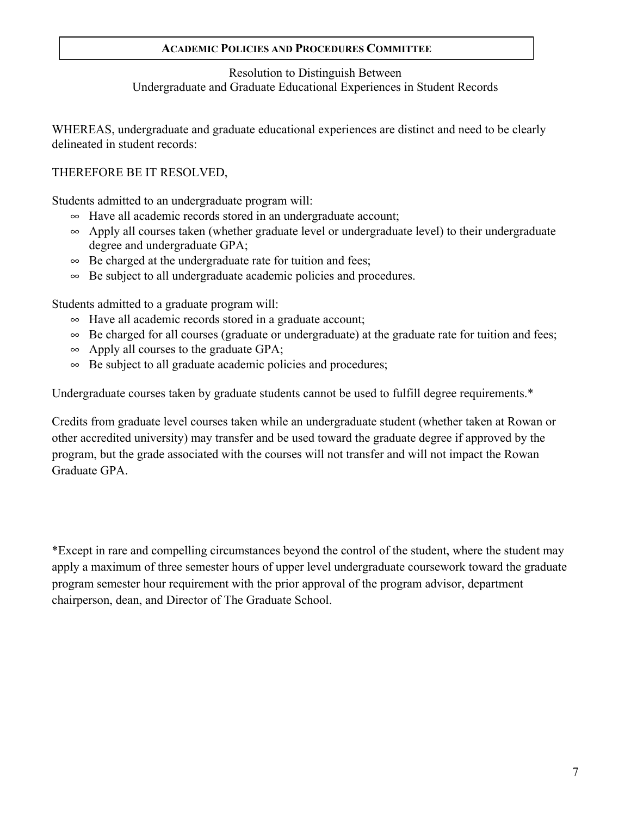## Resolution to Distinguish Between Undergraduate and Graduate Educational Experiences in Student Records

WHEREAS, undergraduate and graduate educational experiences are distinct and need to be clearly delineated in student records:

## THEREFORE BE IT RESOLVED,

Students admitted to an undergraduate program will:

- $\sim$  Have all academic records stored in an undergraduate account;
- $\sim$  Apply all courses taken (whether graduate level or undergraduate level) to their undergraduate degree and undergraduate GPA;
- $\infty$  Be charged at the undergraduate rate for tuition and fees;
- $\infty$  Be subject to all undergraduate academic policies and procedures.

Students admitted to a graduate program will:

- $\sim$  Have all academic records stored in a graduate account;
- $\infty$  Be charged for all courses (graduate or undergraduate) at the graduate rate for tuition and fees;
- $\infty$  Apply all courses to the graduate GPA;
- $\infty$  Be subject to all graduate academic policies and procedures;

Undergraduate courses taken by graduate students cannot be used to fulfill degree requirements.\*

Credits from graduate level courses taken while an undergraduate student (whether taken at Rowan or other accredited university) may transfer and be used toward the graduate degree if approved by the program, but the grade associated with the courses will not transfer and will not impact the Rowan Graduate GPA.

\*Except in rare and compelling circumstances beyond the control of the student, where the student may apply a maximum of three semester hours of upper level undergraduate coursework toward the graduate program semester hour requirement with the prior approval of the program advisor, department chairperson, dean, and Director of The Graduate School.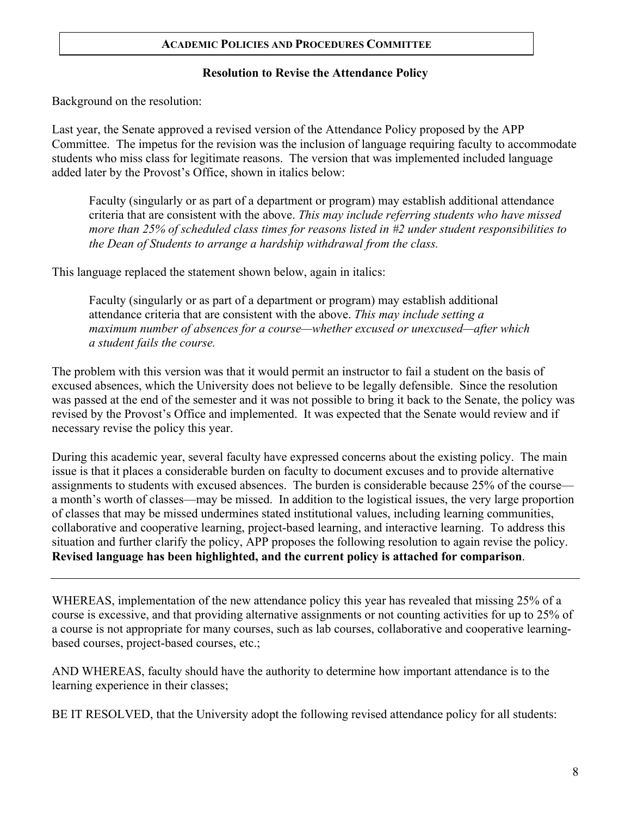## **Resolution to Revise the Attendance Policy**

Background on the resolution:

Last year, the Senate approved a revised version of the Attendance Policy proposed by the APP Committee. The impetus for the revision was the inclusion of language requiring faculty to accommodate students who miss class for legitimate reasons. The version that was implemented included language added later by the Provost's Office, shown in italics below:

Faculty (singularly or as part of a department or program) may establish additional attendance criteria that are consistent with the above. *This may include referring students who have missed more than 25% of scheduled class times for reasons listed in #2 under student responsibilities to the Dean of Students to arrange a hardship withdrawal from the class.*

This language replaced the statement shown below, again in italics:

Faculty (singularly or as part of a department or program) may establish additional attendance criteria that are consistent with the above. *This may include setting a maximum number of absences for a course—whether excused or unexcused—after which a student fails the course.*

The problem with this version was that it would permit an instructor to fail a student on the basis of excused absences, which the University does not believe to be legally defensible. Since the resolution was passed at the end of the semester and it was not possible to bring it back to the Senate, the policy was revised by the Provost's Office and implemented. It was expected that the Senate would review and if necessary revise the policy this year.

During this academic year, several faculty have expressed concerns about the existing policy. The main issue is that it places a considerable burden on faculty to document excuses and to provide alternative assignments to students with excused absences. The burden is considerable because 25% of the course a month's worth of classes—may be missed. In addition to the logistical issues, the very large proportion of classes that may be missed undermines stated institutional values, including learning communities, collaborative and cooperative learning, project-based learning, and interactive learning. To address this situation and further clarify the policy, APP proposes the following resolution to again revise the policy. **Revised language has been highlighted, and the current policy is attached for comparison**.

WHEREAS, implementation of the new attendance policy this year has revealed that missing 25% of a course is excessive, and that providing alternative assignments or not counting activities for up to 25% of a course is not appropriate for many courses, such as lab courses, collaborative and cooperative learningbased courses, project-based courses, etc.;

AND WHEREAS, faculty should have the authority to determine how important attendance is to the learning experience in their classes;

BE IT RESOLVED, that the University adopt the following revised attendance policy for all students: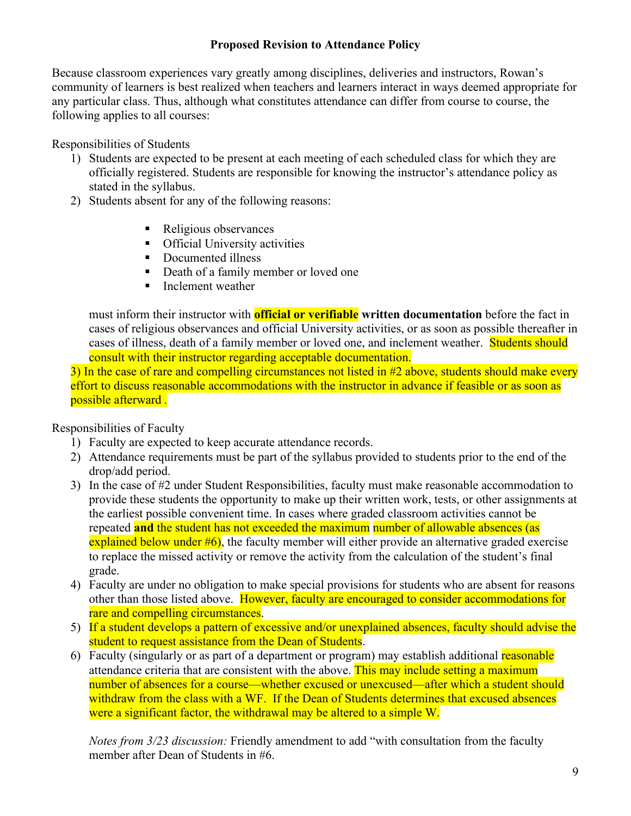## **Proposed Revision to Attendance Policy**

Because classroom experiences vary greatly among disciplines, deliveries and instructors, Rowan's community of learners is best realized when teachers and learners interact in ways deemed appropriate for any particular class. Thus, although what constitutes attendance can differ from course to course, the following applies to all courses:

Responsibilities of Students

- 1) Students are expected to be present at each meeting of each scheduled class for which they are officially registered. Students are responsible for knowing the instructor's attendance policy as stated in the syllabus.
- 2) Students absent for any of the following reasons:
	- Religious observances
	- **•** Official University activities
	- Documented illness
	- Death of a family member or loved one
	- Inclement weather

must inform their instructor with **official or verifiable written documentation** before the fact in cases of religious observances and official University activities, or as soon as possible thereafter in cases of illness, death of a family member or loved one, and inclement weather. Students should consult with their instructor regarding acceptable documentation.

3) In the case of rare and compelling circumstances not listed in #2 above, students should make every effort to discuss reasonable accommodations with the instructor in advance if feasible or as soon as possible afterward *.*

Responsibilities of Faculty

- 1) Faculty are expected to keep accurate attendance records.
- 2) Attendance requirements must be part of the syllabus provided to students prior to the end of the drop/add period.
- 3) In the case of #2 under Student Responsibilities, faculty must make reasonable accommodation to provide these students the opportunity to make up their written work, tests, or other assignments at the earliest possible convenient time. In cases where graded classroom activities cannot be repeated **and** the student has not exceeded the maximum number of allowable absences (as explained below under  $#6$ ), the faculty member will either provide an alternative graded exercise to replace the missed activity or remove the activity from the calculation of the student's final grade.
- 4) Faculty are under no obligation to make special provisions for students who are absent for reasons other than those listed above. However, faculty are encouraged to consider accommodations for rare and compelling circumstances.
- 5) If a student develops a pattern of excessive and/or unexplained absences, faculty should advise the student to request assistance from the Dean of Students.
- 6) Faculty (singularly or as part of a department or program) may establish additional reasonable attendance criteria that are consistent with the above. This may include setting a maximum number of absences for a course—whether excused or unexcused—after which a student should withdraw from the class with a WF. If the Dean of Students determines that excused absences were a significant factor, the withdrawal may be altered to a simple W.

*Notes from 3/23 discussion:* Friendly amendment to add "with consultation from the faculty member after Dean of Students in #6.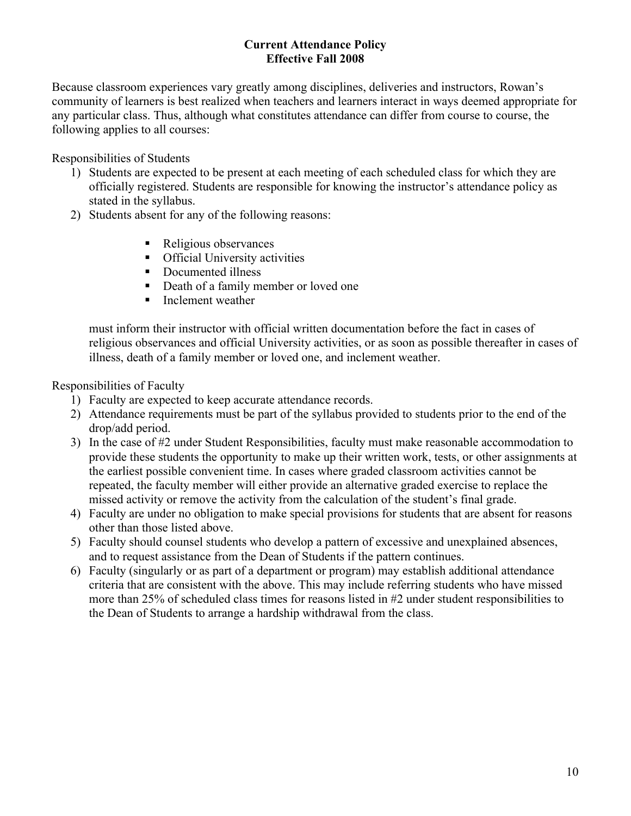## **Current Attendance Policy Effective Fall 2008**

Because classroom experiences vary greatly among disciplines, deliveries and instructors, Rowan's community of learners is best realized when teachers and learners interact in ways deemed appropriate for any particular class. Thus, although what constitutes attendance can differ from course to course, the following applies to all courses:

Responsibilities of Students

- 1) Students are expected to be present at each meeting of each scheduled class for which they are officially registered. Students are responsible for knowing the instructor's attendance policy as stated in the syllabus.
- 2) Students absent for any of the following reasons:
	- Religious observances
	- **•** Official University activities
	- Documented illness
	- Death of a family member or loved one
	- **Inclement weather**

must inform their instructor with official written documentation before the fact in cases of religious observances and official University activities, or as soon as possible thereafter in cases of illness, death of a family member or loved one, and inclement weather.

Responsibilities of Faculty

- 1) Faculty are expected to keep accurate attendance records.
- 2) Attendance requirements must be part of the syllabus provided to students prior to the end of the drop/add period.
- 3) In the case of #2 under Student Responsibilities, faculty must make reasonable accommodation to provide these students the opportunity to make up their written work, tests, or other assignments at the earliest possible convenient time. In cases where graded classroom activities cannot be repeated, the faculty member will either provide an alternative graded exercise to replace the missed activity or remove the activity from the calculation of the student's final grade.
- 4) Faculty are under no obligation to make special provisions for students that are absent for reasons other than those listed above.
- 5) Faculty should counsel students who develop a pattern of excessive and unexplained absences, and to request assistance from the Dean of Students if the pattern continues.
- 6) Faculty (singularly or as part of a department or program) may establish additional attendance criteria that are consistent with the above. This may include referring students who have missed more than 25% of scheduled class times for reasons listed in #2 under student responsibilities to the Dean of Students to arrange a hardship withdrawal from the class.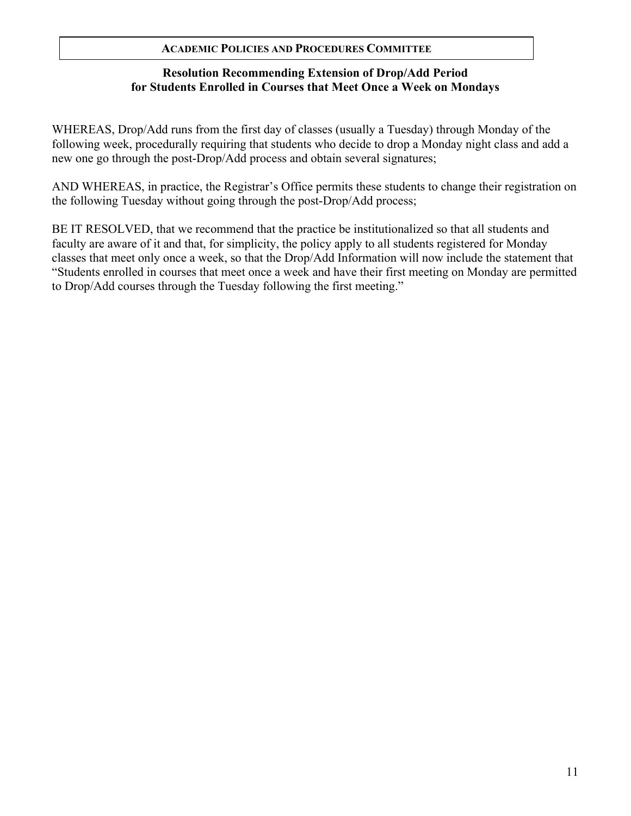## **Resolution Recommending Extension of Drop/Add Period for Students Enrolled in Courses that Meet Once a Week on Mondays**

WHEREAS, Drop/Add runs from the first day of classes (usually a Tuesday) through Monday of the following week, procedurally requiring that students who decide to drop a Monday night class and add a new one go through the post-Drop/Add process and obtain several signatures;

AND WHEREAS, in practice, the Registrar's Office permits these students to change their registration on the following Tuesday without going through the post-Drop/Add process;

BE IT RESOLVED, that we recommend that the practice be institutionalized so that all students and faculty are aware of it and that, for simplicity, the policy apply to all students registered for Monday classes that meet only once a week, so that the Drop/Add Information will now include the statement that "Students enrolled in courses that meet once a week and have their first meeting on Monday are permitted to Drop/Add courses through the Tuesday following the first meeting."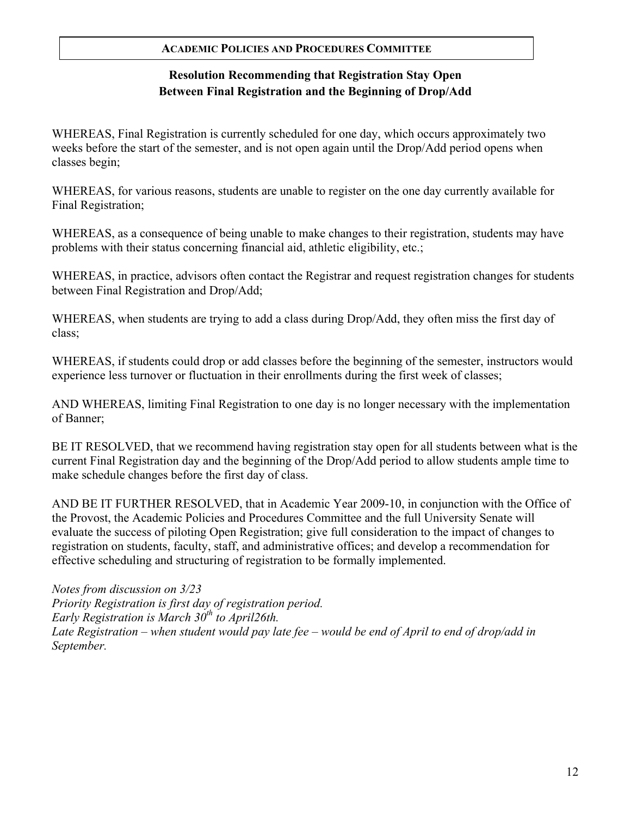# **Resolution Recommending that Registration Stay Open Between Final Registration and the Beginning of Drop/Add**

WHEREAS, Final Registration is currently scheduled for one day, which occurs approximately two weeks before the start of the semester, and is not open again until the Drop/Add period opens when classes begin;

WHEREAS, for various reasons, students are unable to register on the one day currently available for Final Registration;

WHEREAS, as a consequence of being unable to make changes to their registration, students may have problems with their status concerning financial aid, athletic eligibility, etc.;

WHEREAS, in practice, advisors often contact the Registrar and request registration changes for students between Final Registration and Drop/Add;

WHEREAS, when students are trying to add a class during Drop/Add, they often miss the first day of class;

WHEREAS, if students could drop or add classes before the beginning of the semester, instructors would experience less turnover or fluctuation in their enrollments during the first week of classes;

AND WHEREAS, limiting Final Registration to one day is no longer necessary with the implementation of Banner;

BE IT RESOLVED, that we recommend having registration stay open for all students between what is the current Final Registration day and the beginning of the Drop/Add period to allow students ample time to make schedule changes before the first day of class.

AND BE IT FURTHER RESOLVED, that in Academic Year 2009-10, in conjunction with the Office of the Provost, the Academic Policies and Procedures Committee and the full University Senate will evaluate the success of piloting Open Registration; give full consideration to the impact of changes to registration on students, faculty, staff, and administrative offices; and develop a recommendation for effective scheduling and structuring of registration to be formally implemented.

*Notes from discussion on 3/23 Priority Registration is first day of registration period. Early Registration is March 30<sup>th</sup> to April26th. Late Registration – when student would pay late fee – would be end of April to end of drop/add in September.*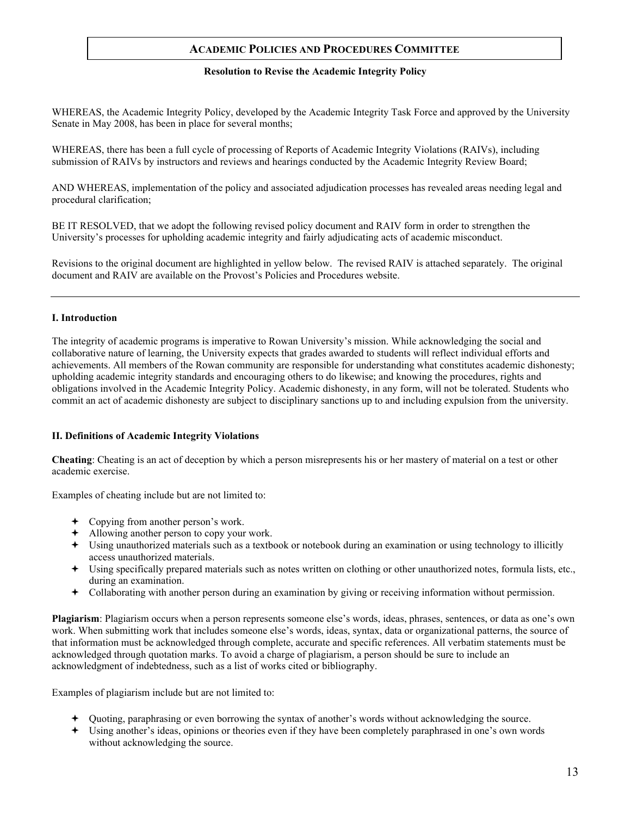#### **Resolution to Revise the Academic Integrity Policy**

WHEREAS, the Academic Integrity Policy, developed by the Academic Integrity Task Force and approved by the University Senate in May 2008, has been in place for several months;

WHEREAS, there has been a full cycle of processing of Reports of Academic Integrity Violations (RAIVs), including submission of RAIVs by instructors and reviews and hearings conducted by the Academic Integrity Review Board;

AND WHEREAS, implementation of the policy and associated adjudication processes has revealed areas needing legal and procedural clarification;

BE IT RESOLVED, that we adopt the following revised policy document and RAIV form in order to strengthen the University's processes for upholding academic integrity and fairly adjudicating acts of academic misconduct.

Revisions to the original document are highlighted in yellow below. The revised RAIV is attached separately. The original document and RAIV are available on the Provost's Policies and Procedures website.

#### **I. Introduction**

The integrity of academic programs is imperative to Rowan University's mission. While acknowledging the social and collaborative nature of learning, the University expects that grades awarded to students will reflect individual efforts and achievements. All members of the Rowan community are responsible for understanding what constitutes academic dishonesty; upholding academic integrity standards and encouraging others to do likewise; and knowing the procedures, rights and obligations involved in the Academic Integrity Policy. Academic dishonesty, in any form, will not be tolerated. Students who commit an act of academic dishonesty are subject to disciplinary sanctions up to and including expulsion from the university.

#### **II. Definitions of Academic Integrity Violations**

**Cheating**: Cheating is an act of deception by which a person misrepresents his or her mastery of material on a test or other academic exercise.

Examples of cheating include but are not limited to:

- Copying from another person's work.
- Allowing another person to copy your work.
- Using unauthorized materials such as a textbook or notebook during an examination or using technology to illicitly access unauthorized materials.
- Using specifically prepared materials such as notes written on clothing or other unauthorized notes, formula lists, etc., during an examination.
- Collaborating with another person during an examination by giving or receiving information without permission.

**Plagiarism**: Plagiarism occurs when a person represents someone else's words, ideas, phrases, sentences, or data as one's own work. When submitting work that includes someone else's words, ideas, syntax, data or organizational patterns, the source of that information must be acknowledged through complete, accurate and specific references. All verbatim statements must be acknowledged through quotation marks. To avoid a charge of plagiarism, a person should be sure to include an acknowledgment of indebtedness, such as a list of works cited or bibliography.

Examples of plagiarism include but are not limited to:

- Quoting, paraphrasing or even borrowing the syntax of another's words without acknowledging the source.
- Using another's ideas, opinions or theories even if they have been completely paraphrased in one's own words without acknowledging the source.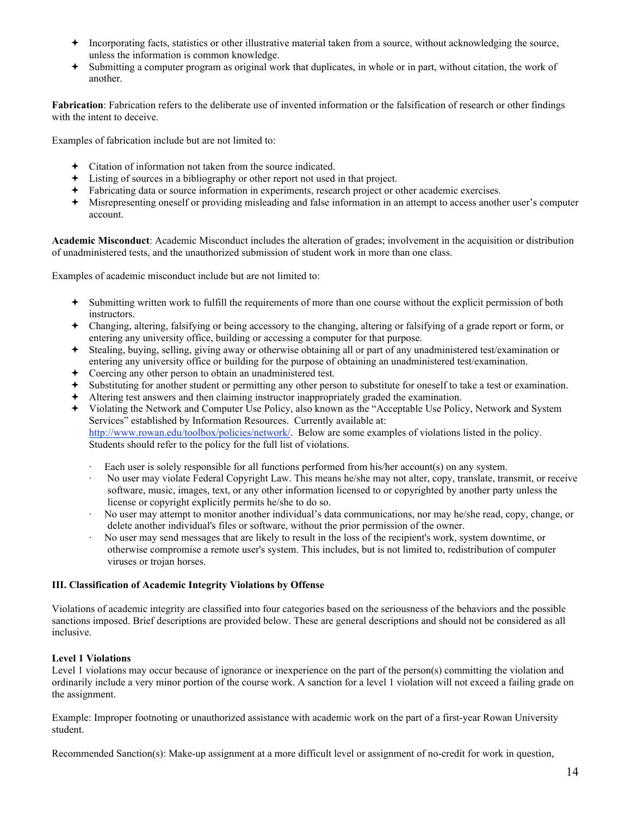- $\triangle$  Incorporating facts, statistics or other illustrative material taken from a source, without acknowledging the source, unless the information is common knowledge.
- Submitting a computer program as original work that duplicates, in whole or in part, without citation, the work of another.

**Fabrication**: Fabrication refers to the deliberate use of invented information or the falsification of research or other findings with the intent to deceive.

Examples of fabrication include but are not limited to:

- Citation of information not taken from the source indicated.
- Listing of sources in a bibliography or other report not used in that project.
- Fabricating data or source information in experiments, research project or other academic exercises.
- Misrepresenting oneself or providing misleading and false information in an attempt to access another user's computer account.

**Academic Misconduct**: Academic Misconduct includes the alteration of grades; involvement in the acquisition or distribution of unadministered tests, and the unauthorized submission of student work in more than one class.

Examples of academic misconduct include but are not limited to:

- Submitting written work to fulfill the requirements of more than one course without the explicit permission of both instructors.
- Changing, altering, falsifying or being accessory to the changing, altering or falsifying of a grade report or form, or entering any university office, building or accessing a computer for that purpose.
- Stealing, buying, selling, giving away or otherwise obtaining all or part of any unadministered test/examination or entering any university office or building for the purpose of obtaining an unadministered test/examination.
- Coercing any other person to obtain an unadministered test.
- Substituting for another student or permitting any other person to substitute for oneself to take a test or examination.
- Altering test answers and then claiming instructor inappropriately graded the examination.
- Violating the Network and Computer Use Policy, also known as the "Acceptable Use Policy, Network and System Services" established by Information Resources. Currently available at: http://www.rowan.edu/toolbox/policies/network/. Below are some examples of violations listed in the policy. Students should refer to the policy for the full list of violations.
	- Each user is solely responsible for all functions performed from his/her account(s) on any system.
	- · No user may violate Federal Copyright Law. This means he/she may not alter, copy, translate, transmit, or receive software, music, images, text, or any other information licensed to or copyrighted by another party unless the license or copyright explicitly permits he/she to do so.
	- · No user may attempt to monitor another individual's data communications, nor may he/she read, copy, change, or delete another individual's files or software, without the prior permission of the owner.
	- · No user may send messages that are likely to result in the loss of the recipient's work, system downtime, or otherwise compromise a remote user's system. This includes, but is not limited to, redistribution of computer viruses or trojan horses.

#### **III. Classification of Academic Integrity Violations by Offense**

Violations of academic integrity are classified into four categories based on the seriousness of the behaviors and the possible sanctions imposed. Brief descriptions are provided below. These are general descriptions and should not be considered as all inclusive.

#### **Level 1 Violations**

Level 1 violations may occur because of ignorance or inexperience on the part of the person(s) committing the violation and ordinarily include a very minor portion of the course work. A sanction for a level 1 violation will not exceed a failing grade on the assignment.

Example: Improper footnoting or unauthorized assistance with academic work on the part of a first-year Rowan University student.

Recommended Sanction(s): Make-up assignment at a more difficult level or assignment of no-credit for work in question,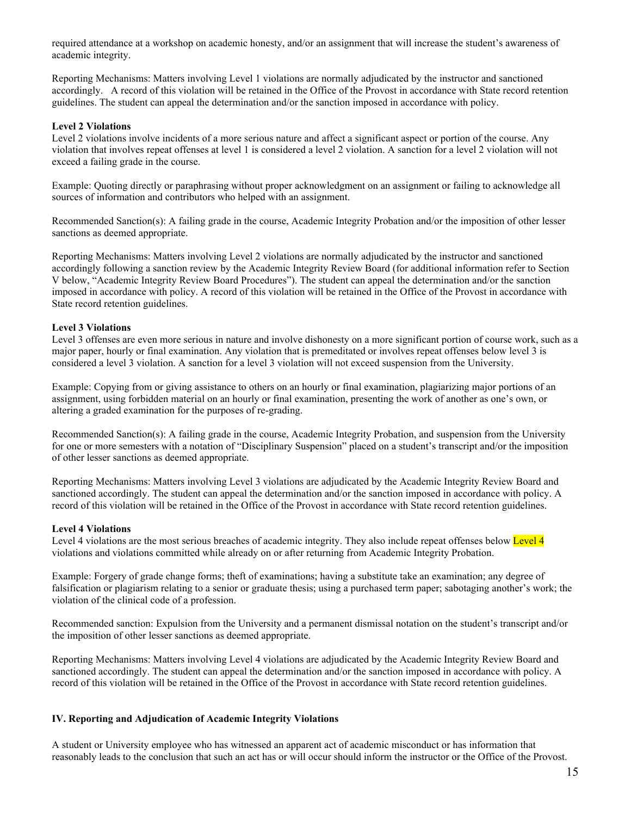required attendance at a workshop on academic honesty, and/or an assignment that will increase the student's awareness of academic integrity.

Reporting Mechanisms: Matters involving Level 1 violations are normally adjudicated by the instructor and sanctioned accordingly. A record of this violation will be retained in the Office of the Provost in accordance with State record retention guidelines. The student can appeal the determination and/or the sanction imposed in accordance with policy.

#### **Level 2 Violations**

Level 2 violations involve incidents of a more serious nature and affect a significant aspect or portion of the course. Any violation that involves repeat offenses at level 1 is considered a level 2 violation. A sanction for a level 2 violation will not exceed a failing grade in the course.

Example: Quoting directly or paraphrasing without proper acknowledgment on an assignment or failing to acknowledge all sources of information and contributors who helped with an assignment.

Recommended Sanction(s): A failing grade in the course, Academic Integrity Probation and/or the imposition of other lesser sanctions as deemed appropriate.

Reporting Mechanisms: Matters involving Level 2 violations are normally adjudicated by the instructor and sanctioned accordingly following a sanction review by the Academic Integrity Review Board (for additional information refer to Section V below, "Academic Integrity Review Board Procedures"). The student can appeal the determination and/or the sanction imposed in accordance with policy. A record of this violation will be retained in the Office of the Provost in accordance with State record retention guidelines.

#### **Level 3 Violations**

Level 3 offenses are even more serious in nature and involve dishonesty on a more significant portion of course work, such as a major paper, hourly or final examination. Any violation that is premeditated or involves repeat offenses below level 3 is considered a level 3 violation. A sanction for a level 3 violation will not exceed suspension from the University.

Example: Copying from or giving assistance to others on an hourly or final examination, plagiarizing major portions of an assignment, using forbidden material on an hourly or final examination, presenting the work of another as one's own, or altering a graded examination for the purposes of re-grading.

Recommended Sanction(s): A failing grade in the course, Academic Integrity Probation, and suspension from the University for one or more semesters with a notation of "Disciplinary Suspension" placed on a student's transcript and/or the imposition of other lesser sanctions as deemed appropriate.

Reporting Mechanisms: Matters involving Level 3 violations are adjudicated by the Academic Integrity Review Board and sanctioned accordingly. The student can appeal the determination and/or the sanction imposed in accordance with policy. A record of this violation will be retained in the Office of the Provost in accordance with State record retention guidelines.

#### **Level 4 Violations**

Level 4 violations are the most serious breaches of academic integrity. They also include repeat offenses below Level 4 violations and violations committed while already on or after returning from Academic Integrity Probation.

Example: Forgery of grade change forms; theft of examinations; having a substitute take an examination; any degree of falsification or plagiarism relating to a senior or graduate thesis; using a purchased term paper; sabotaging another's work; the violation of the clinical code of a profession.

Recommended sanction: Expulsion from the University and a permanent dismissal notation on the student's transcript and/or the imposition of other lesser sanctions as deemed appropriate.

Reporting Mechanisms: Matters involving Level 4 violations are adjudicated by the Academic Integrity Review Board and sanctioned accordingly. The student can appeal the determination and/or the sanction imposed in accordance with policy. A record of this violation will be retained in the Office of the Provost in accordance with State record retention guidelines.

#### **IV. Reporting and Adjudication of Academic Integrity Violations**

A student or University employee who has witnessed an apparent act of academic misconduct or has information that reasonably leads to the conclusion that such an act has or will occur should inform the instructor or the Office of the Provost.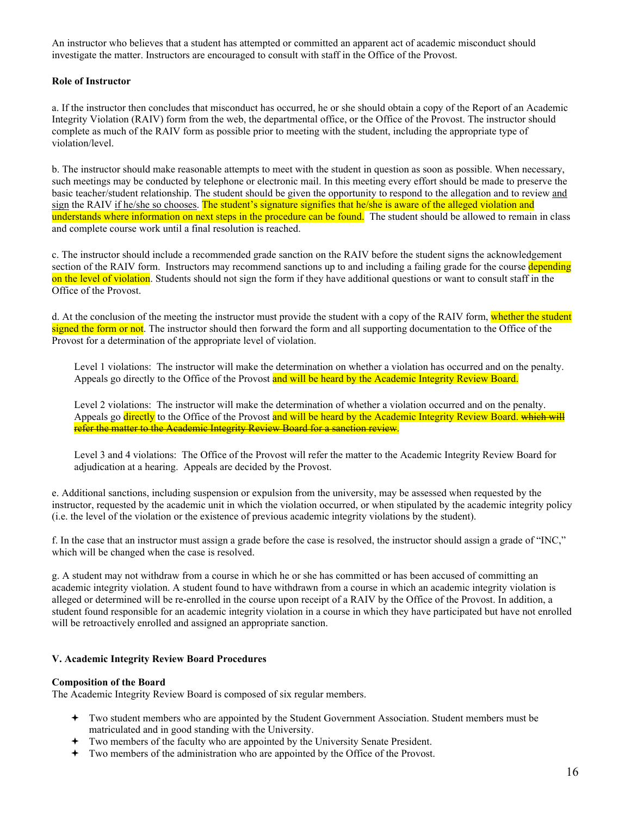An instructor who believes that a student has attempted or committed an apparent act of academic misconduct should investigate the matter. Instructors are encouraged to consult with staff in the Office of the Provost.

#### **Role of Instructor**

a. If the instructor then concludes that misconduct has occurred, he or she should obtain a copy of the Report of an Academic Integrity Violation (RAIV) form from the web, the departmental office, or the Office of the Provost. The instructor should complete as much of the RAIV form as possible prior to meeting with the student, including the appropriate type of violation/level.

b. The instructor should make reasonable attempts to meet with the student in question as soon as possible. When necessary, such meetings may be conducted by telephone or electronic mail. In this meeting every effort should be made to preserve the basic teacher/student relationship. The student should be given the opportunity to respond to the allegation and to review and sign the RAIV if he/she so chooses. The student's signature signifies that he/she is aware of the alleged violation and understands where information on next steps in the procedure can be found. The student should be allowed to remain in class and complete course work until a final resolution is reached.

c. The instructor should include a recommended grade sanction on the RAIV before the student signs the acknowledgement section of the RAIV form. Instructors may recommend sanctions up to and including a failing grade for the course depending on the level of violation. Students should not sign the form if they have additional questions or want to consult staff in the Office of the Provost.

d. At the conclusion of the meeting the instructor must provide the student with a copy of the RAIV form, whether the student signed the form or not. The instructor should then forward the form and all supporting documentation to the Office of the Provost for a determination of the appropriate level of violation.

Level 1 violations: The instructor will make the determination on whether a violation has occurred and on the penalty. Appeals go directly to the Office of the Provost and will be heard by the Academic Integrity Review Board.

Level 2 violations: The instructor will make the determination of whether a violation occurred and on the penalty. Appeals go directly to the Office of the Provost and will be heard by the Academic Integrity Review Board, which will refer the matter to the Academic Integrity Review Board for a sanction review.

Level 3 and 4 violations: The Office of the Provost will refer the matter to the Academic Integrity Review Board for adjudication at a hearing. Appeals are decided by the Provost.

e. Additional sanctions, including suspension or expulsion from the university, may be assessed when requested by the instructor, requested by the academic unit in which the violation occurred, or when stipulated by the academic integrity policy (i.e. the level of the violation or the existence of previous academic integrity violations by the student).

f. In the case that an instructor must assign a grade before the case is resolved, the instructor should assign a grade of "INC," which will be changed when the case is resolved.

g. A student may not withdraw from a course in which he or she has committed or has been accused of committing an academic integrity violation. A student found to have withdrawn from a course in which an academic integrity violation is alleged or determined will be re-enrolled in the course upon receipt of a RAIV by the Office of the Provost. In addition, a student found responsible for an academic integrity violation in a course in which they have participated but have not enrolled will be retroactively enrolled and assigned an appropriate sanction.

#### **V. Academic Integrity Review Board Procedures**

#### **Composition of the Board**

The Academic Integrity Review Board is composed of six regular members.

- Two student members who are appointed by the Student Government Association. Student members must be matriculated and in good standing with the University.
- Two members of the faculty who are appointed by the University Senate President.
- Two members of the administration who are appointed by the Office of the Provost.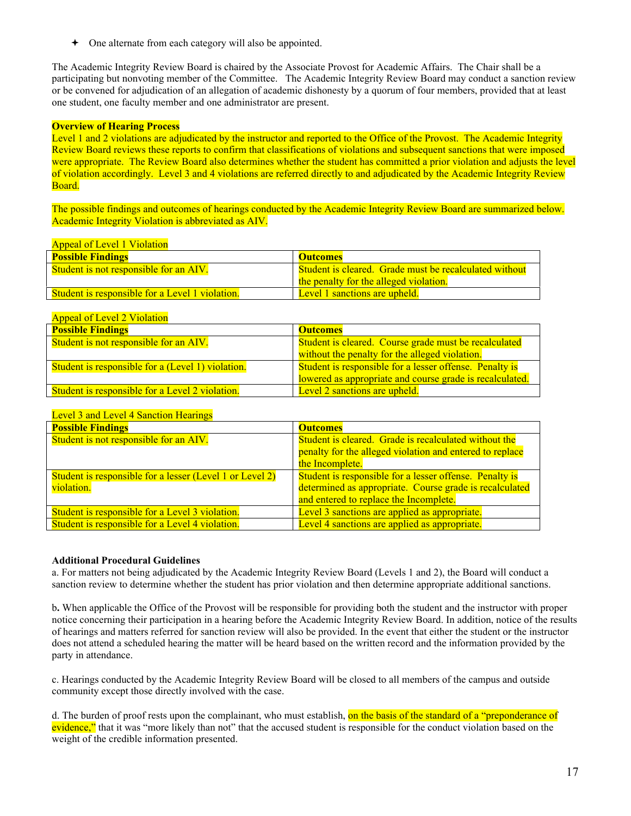One alternate from each category will also be appointed.

The Academic Integrity Review Board is chaired by the Associate Provost for Academic Affairs. The Chair shall be a participating but nonvoting member of the Committee. The Academic Integrity Review Board may conduct a sanction review or be convened for adjudication of an allegation of academic dishonesty by a quorum of four members, provided that at least one student, one faculty member and one administrator are present.

#### **Overview of Hearing Process**

Level 1 and 2 violations are adjudicated by the instructor and reported to the Office of the Provost. The Academic Integrity Review Board reviews these reports to confirm that classifications of violations and subsequent sanctions that were imposed were appropriate. The Review Board also determines whether the student has committed a prior violation and adjusts the level of violation accordingly. Level 3 and 4 violations are referred directly to and adjudicated by the Academic Integrity Review Board.

The possible findings and outcomes of hearings conducted by the Academic Integrity Review Board are summarized below. Academic Integrity Violation is abbreviated as AIV.

#### Appeal of Level 1 Violation

| <b>Possible Findings</b>                               | <b>Outcomes</b>                                        |
|--------------------------------------------------------|--------------------------------------------------------|
| <b>Student is not responsible for an AIV.</b>          | Student is cleared. Grade must be recalculated without |
|                                                        | the penalty for the alleged violation.                 |
| <b>Student is responsible for a Level 1 violation.</b> | Level 1 sanctions are upheld.                          |

### Appeal of Level 2 Violation

| <b>Possible Findings</b>                               | <b>Outcomes</b>                                          |  |
|--------------------------------------------------------|----------------------------------------------------------|--|
| Student is not responsible for an AIV.                 | Student is cleared. Course grade must be recalculated    |  |
|                                                        | without the penalty for the alleged violation.           |  |
| Student is responsible for a (Level 1) violation.      | Student is responsible for a lesser offense. Penalty is  |  |
|                                                        | lowered as appropriate and course grade is recalculated. |  |
| <b>Student is responsible for a Level 2 violation.</b> | Level 2 sanctions are upheld.                            |  |

#### Level 3 and Level 4 Sanction Hearings

| <b>Possible Findings</b>                                 | <b>Outcomes</b>                                          |  |
|----------------------------------------------------------|----------------------------------------------------------|--|
| Student is not responsible for an AIV.                   | Student is cleared. Grade is recalculated without the    |  |
|                                                          | penalty for the alleged violation and entered to replace |  |
|                                                          | the Incomplete.                                          |  |
| Student is responsible for a lesser (Level 1 or Level 2) | Student is responsible for a lesser offense. Penalty is  |  |
| violation.                                               | determined as appropriate. Course grade is recalculated  |  |
|                                                          | and entered to replace the Incomplete.                   |  |
| Student is responsible for a Level 3 violation.          | Level 3 sanctions are applied as appropriate.            |  |
| Student is responsible for a Level 4 violation.          | Level 4 sanctions are applied as appropriate.            |  |

#### **Additional Procedural Guidelines**

a. For matters not being adjudicated by the Academic Integrity Review Board (Levels 1 and 2), the Board will conduct a sanction review to determine whether the student has prior violation and then determine appropriate additional sanctions.

b**.** When applicable the Office of the Provost will be responsible for providing both the student and the instructor with proper notice concerning their participation in a hearing before the Academic Integrity Review Board. In addition, notice of the results of hearings and matters referred for sanction review will also be provided. In the event that either the student or the instructor does not attend a scheduled hearing the matter will be heard based on the written record and the information provided by the party in attendance.

c. Hearings conducted by the Academic Integrity Review Board will be closed to all members of the campus and outside community except those directly involved with the case.

d. The burden of proof rests upon the complainant, who must establish, on the basis of the standard of a "preponderance of evidence," that it was "more likely than not" that the accused student is responsible for the conduct violation based on the weight of the credible information presented.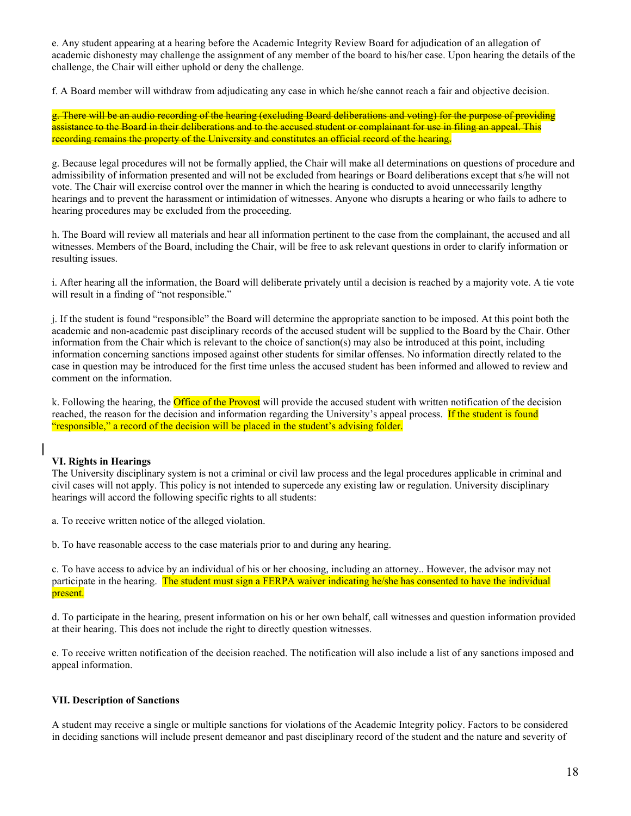e. Any student appearing at a hearing before the Academic Integrity Review Board for adjudication of an allegation of academic dishonesty may challenge the assignment of any member of the board to his/her case. Upon hearing the details of the challenge, the Chair will either uphold or deny the challenge.

f. A Board member will withdraw from adjudicating any case in which he/she cannot reach a fair and objective decision.

g. There will be an audio recording of the hearing (excluding Board deliberations and voting) for the purpose of providing assistance to the Board in their deliberations and to the accused student or complainant for use in filing an appeal. This recording remains the property of the University and constitutes an official record of the hearing.

g. Because legal procedures will not be formally applied, the Chair will make all determinations on questions of procedure and admissibility of information presented and will not be excluded from hearings or Board deliberations except that s/he will not vote. The Chair will exercise control over the manner in which the hearing is conducted to avoid unnecessarily lengthy hearings and to prevent the harassment or intimidation of witnesses. Anyone who disrupts a hearing or who fails to adhere to hearing procedures may be excluded from the proceeding.

h. The Board will review all materials and hear all information pertinent to the case from the complainant, the accused and all witnesses. Members of the Board, including the Chair, will be free to ask relevant questions in order to clarify information or resulting issues.

i. After hearing all the information, the Board will deliberate privately until a decision is reached by a majority vote. A tie vote will result in a finding of "not responsible."

j. If the student is found "responsible" the Board will determine the appropriate sanction to be imposed. At this point both the academic and non-academic past disciplinary records of the accused student will be supplied to the Board by the Chair. Other information from the Chair which is relevant to the choice of sanction(s) may also be introduced at this point, including information concerning sanctions imposed against other students for similar offenses. No information directly related to the case in question may be introduced for the first time unless the accused student has been informed and allowed to review and comment on the information.

k. Following the hearing, the **Office of the Provost** will provide the accused student with written notification of the decision reached, the reason for the decision and information regarding the University's appeal process. If the student is found "responsible," a record of the decision will be placed in the student's advising folder.

### **VI. Rights in Hearings**

The University disciplinary system is not a criminal or civil law process and the legal procedures applicable in criminal and civil cases will not apply. This policy is not intended to supercede any existing law or regulation. University disciplinary hearings will accord the following specific rights to all students:

a. To receive written notice of the alleged violation.

b. To have reasonable access to the case materials prior to and during any hearing.

c. To have access to advice by an individual of his or her choosing, including an attorney.. However, the advisor may not participate in the hearing. The student must sign a FERPA waiver indicating he/she has consented to have the individual present.

d. To participate in the hearing, present information on his or her own behalf, call witnesses and question information provided at their hearing. This does not include the right to directly question witnesses.

e. To receive written notification of the decision reached. The notification will also include a list of any sanctions imposed and appeal information.

#### **VII. Description of Sanctions**

A student may receive a single or multiple sanctions for violations of the Academic Integrity policy. Factors to be considered in deciding sanctions will include present demeanor and past disciplinary record of the student and the nature and severity of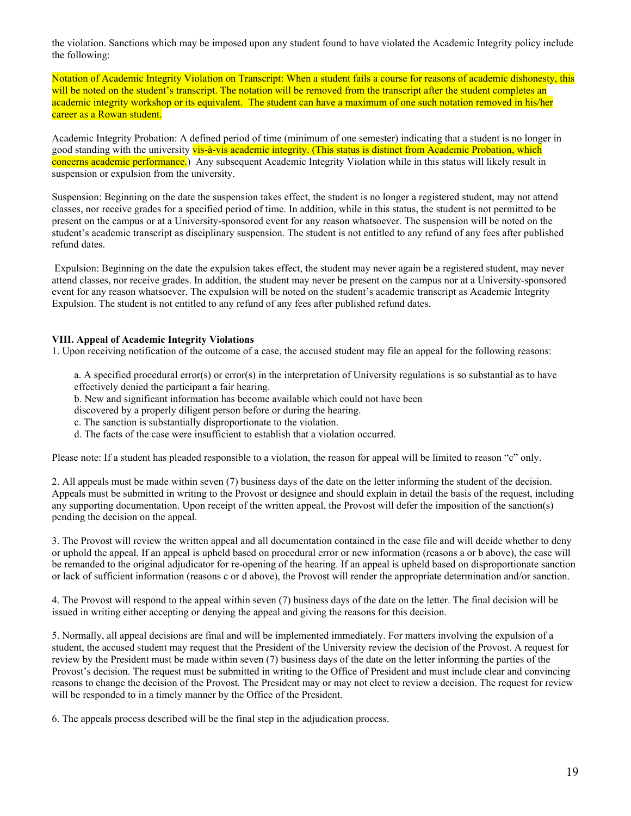the violation. Sanctions which may be imposed upon any student found to have violated the Academic Integrity policy include the following:

Notation of Academic Integrity Violation on Transcript: When a student fails a course for reasons of academic dishonesty, this will be noted on the student's transcript. The notation will be removed from the transcript after the student completes an academic integrity workshop or its equivalent. The student can have a maximum of one such notation removed in his/her career as a Rowan student.

Academic Integrity Probation: A defined period of time (minimum of one semester) indicating that a student is no longer in good standing with the university vis-à-vis academic integrity. (This status is distinct from Academic Probation, which concerns academic performance.) Any subsequent Academic Integrity Violation while in this status will likely result in suspension or expulsion from the university.

Suspension: Beginning on the date the suspension takes effect, the student is no longer a registered student, may not attend classes, nor receive grades for a specified period of time. In addition, while in this status, the student is not permitted to be present on the campus or at a University-sponsored event for any reason whatsoever. The suspension will be noted on the student's academic transcript as disciplinary suspension. The student is not entitled to any refund of any fees after published refund dates.

 Expulsion: Beginning on the date the expulsion takes effect, the student may never again be a registered student, may never attend classes, nor receive grades. In addition, the student may never be present on the campus nor at a University-sponsored event for any reason whatsoever. The expulsion will be noted on the student's academic transcript as Academic Integrity Expulsion. The student is not entitled to any refund of any fees after published refund dates.

#### **VIII. Appeal of Academic Integrity Violations**

1. Upon receiving notification of the outcome of a case, the accused student may file an appeal for the following reasons:

a. A specified procedural error(s) or error(s) in the interpretation of University regulations is so substantial as to have effectively denied the participant a fair hearing.

b. New and significant information has become available which could not have been

discovered by a properly diligent person before or during the hearing.

- c. The sanction is substantially disproportionate to the violation.
- d. The facts of the case were insufficient to establish that a violation occurred.

Please note: If a student has pleaded responsible to a violation, the reason for appeal will be limited to reason "c" only.

2. All appeals must be made within seven (7) business days of the date on the letter informing the student of the decision. Appeals must be submitted in writing to the Provost or designee and should explain in detail the basis of the request, including any supporting documentation. Upon receipt of the written appeal, the Provost will defer the imposition of the sanction(s) pending the decision on the appeal.

3. The Provost will review the written appeal and all documentation contained in the case file and will decide whether to deny or uphold the appeal. If an appeal is upheld based on procedural error or new information (reasons a or b above), the case will be remanded to the original adjudicator for re-opening of the hearing. If an appeal is upheld based on disproportionate sanction or lack of sufficient information (reasons c or d above), the Provost will render the appropriate determination and/or sanction.

4. The Provost will respond to the appeal within seven (7) business days of the date on the letter. The final decision will be issued in writing either accepting or denying the appeal and giving the reasons for this decision.

5. Normally, all appeal decisions are final and will be implemented immediately. For matters involving the expulsion of a student, the accused student may request that the President of the University review the decision of the Provost. A request for review by the President must be made within seven (7) business days of the date on the letter informing the parties of the Provost's decision. The request must be submitted in writing to the Office of President and must include clear and convincing reasons to change the decision of the Provost. The President may or may not elect to review a decision. The request for review will be responded to in a timely manner by the Office of the President.

6. The appeals process described will be the final step in the adjudication process.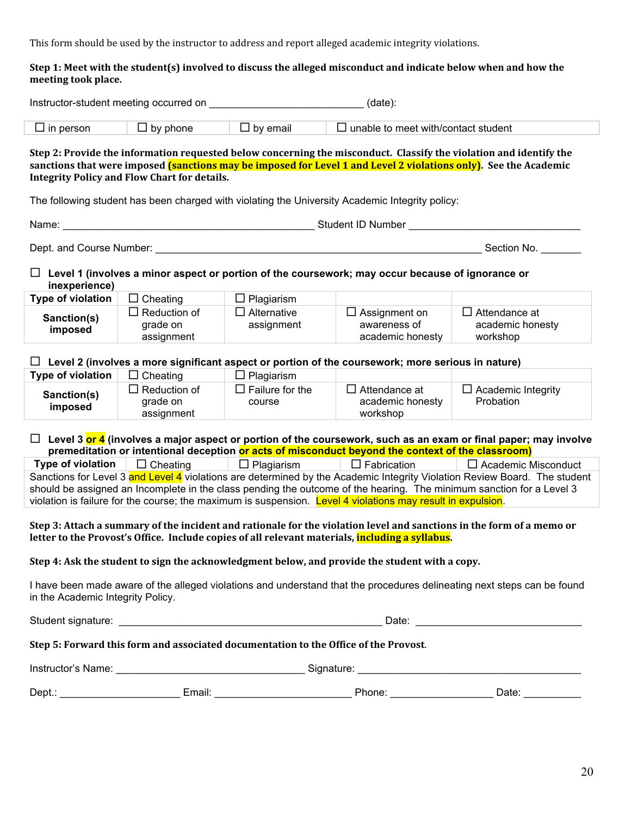This
form
should
be
used
by
the
instructor
to
address
and
report
alleged
academic
integrity
violations.

#### Step 1: Meet with the student(s) involved to discuss the alleged misconduct and indicate below when and how the **meeting
took
place.**

|                                                                                                                                                                                                                                                                                                                                                                                                  | Instructor-student meeting occurred on<br>(data): |                                  |                                                                                                                |                                                                                                                        |  |
|--------------------------------------------------------------------------------------------------------------------------------------------------------------------------------------------------------------------------------------------------------------------------------------------------------------------------------------------------------------------------------------------------|---------------------------------------------------|----------------------------------|----------------------------------------------------------------------------------------------------------------|------------------------------------------------------------------------------------------------------------------------|--|
| $\Box$ in person                                                                                                                                                                                                                                                                                                                                                                                 | $\Box$ by phone                                   | $\Box$ by email                  | $\Box$ unable to meet with/contact student                                                                     |                                                                                                                        |  |
| Step 2: Provide the information requested below concerning the misconduct. Classify the violation and identify the<br>sanctions that were imposed (sanctions may be imposed for Level 1 and Level 2 violations only). See the Academic<br><b>Integrity Policy and Flow Chart for details.</b><br>The following student has been charged with violating the University Academic Integrity policy: |                                                   |                                  |                                                                                                                |                                                                                                                        |  |
| Name:                                                                                                                                                                                                                                                                                                                                                                                            |                                                   |                                  |                                                                                                                |                                                                                                                        |  |
|                                                                                                                                                                                                                                                                                                                                                                                                  |                                                   |                                  | Dept. and Course Number: Dept. 2008. The Course of the Course of the Course of the Course of the Course of the | Section No.                                                                                                            |  |
| inexperience)                                                                                                                                                                                                                                                                                                                                                                                    |                                                   |                                  | $\Box$ Level 1 (involves a minor aspect or portion of the coursework; may occur because of ignorance or        |                                                                                                                        |  |
| Type of violation                                                                                                                                                                                                                                                                                                                                                                                | $\Box$ Cheating                                   | $\Box$ Plagiarism                |                                                                                                                |                                                                                                                        |  |
| Sanction(s)<br>imposed                                                                                                                                                                                                                                                                                                                                                                           | $\Box$ Reduction of<br>grade on<br>assignment     | $\Box$ Alternative<br>assignment | $\Box$ Assignment on<br>awareness of<br>academic honesty                                                       | $\Box$ Attendance at<br>academic honesty<br>workshop                                                                   |  |
|                                                                                                                                                                                                                                                                                                                                                                                                  |                                                   |                                  | $\Box$ Level 2 (involves a more significant aspect or portion of the coursework; more serious in nature)       |                                                                                                                        |  |
| Type of violation                                                                                                                                                                                                                                                                                                                                                                                | $\Box$ Cheating                                   | $\Box$ Plagiarism                |                                                                                                                |                                                                                                                        |  |
| Sanction(s)<br>imposed                                                                                                                                                                                                                                                                                                                                                                           | $\Box$ Reduction of<br>grade on<br>assignment     | $\Box$ Failure for the<br>course | $\Box$ Attendance at<br>academic honesty<br>workshop                                                           | $\Box$ Academic Integrity<br>Probation                                                                                 |  |
|                                                                                                                                                                                                                                                                                                                                                                                                  |                                                   |                                  | premeditation or intentional deception or acts of misconduct beyond the context of the classroom)              | $\Box$ Level 3 or 4 (involves a major aspect or portion of the coursework, such as an exam or final paper; may involve |  |
| <b>Type of violation</b>                                                                                                                                                                                                                                                                                                                                                                         | $\Box$ Cheating                                   | $\Box$ Plagiarism                | $\Box$ Fabrication                                                                                             | $\Box$ Academic Misconduct                                                                                             |  |
| Sanctions for Level 3 and Level 4 violations are determined by the Academic Integrity Violation Review Board. The student<br>should be assigned an Incomplete in the class pending the outcome of the hearing. The minimum sanction for a Level 3<br>violation is failure for the course; the maximum is suspension. Level 4 violations may result in expulsion.                                 |                                                   |                                  |                                                                                                                |                                                                                                                        |  |
| Step 3: Attach a summary of the incident and rationale for the violation level and sanctions in the form of a memo or<br>letter to the Provost's Office. Include copies of all relevant materials, including a syllabus.                                                                                                                                                                         |                                                   |                                  |                                                                                                                |                                                                                                                        |  |
| Step 4: Ask the student to sign the acknowledgment below, and provide the student with a copy.                                                                                                                                                                                                                                                                                                   |                                                   |                                  |                                                                                                                |                                                                                                                        |  |
| I have been made aware of the alleged violations and understand that the procedures delineating next steps can be found<br>in the Academic Integrity Policy.                                                                                                                                                                                                                                     |                                                   |                                  |                                                                                                                |                                                                                                                        |  |
|                                                                                                                                                                                                                                                                                                                                                                                                  |                                                   |                                  |                                                                                                                |                                                                                                                        |  |
| Step 5: Forward this form and associated documentation to the Office of the Provost.                                                                                                                                                                                                                                                                                                             |                                                   |                                  |                                                                                                                |                                                                                                                        |  |
|                                                                                                                                                                                                                                                                                                                                                                                                  |                                                   |                                  |                                                                                                                |                                                                                                                        |  |
|                                                                                                                                                                                                                                                                                                                                                                                                  |                                                   |                                  |                                                                                                                |                                                                                                                        |  |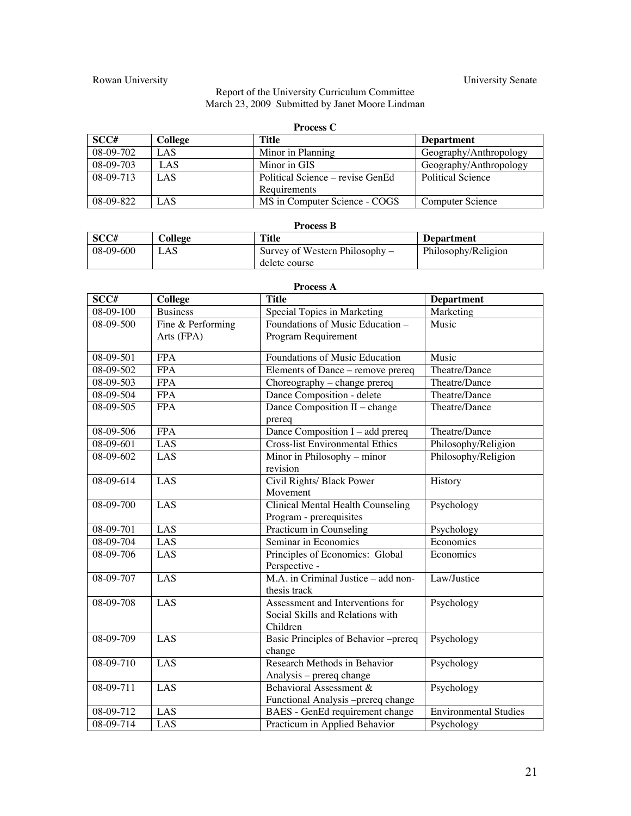# Rowan University Senate

#### Report of the University Curriculum Committee March 23, 2009 Submitted by Janet Moore Lindman

| <b>Process C</b> |         |                                  |                          |
|------------------|---------|----------------------------------|--------------------------|
| SCC#             | College | Title                            | <b>Department</b>        |
| 08-09-702        | LAS     | Minor in Planning                | Geography/Anthropology   |
| $08-09-703$      | LAS     | Minor in GIS                     | Geography/Anthropology   |
| 08-09-713        | LAS.    | Political Science – revise GenEd | <b>Political Science</b> |
|                  |         | Requirements                     |                          |
| 08-09-822        | LAS     | MS in Computer Science - COGS    | Computer Science         |

| <b>Process B</b> |         |                                  |                     |
|------------------|---------|----------------------------------|---------------------|
| SCC#             | College | <b>Title</b>                     | <b>Department</b>   |
| $08-09-600$      | ī AS    | Survey of Western Philosophy $-$ | Philosophy/Religion |
|                  |         | delete course                    |                     |

| <b>Process A</b> |                   |                                                                                  |                              |
|------------------|-------------------|----------------------------------------------------------------------------------|------------------------------|
| SCC#             | <b>College</b>    | <b>Title</b>                                                                     | <b>Department</b>            |
| $08 - 09 - 100$  | <b>Business</b>   | Special Topics in Marketing                                                      | Marketing                    |
| 08-09-500        | Fine & Performing | Foundations of Music Education -                                                 | Music                        |
|                  | Arts (FPA)        | Program Requirement                                                              |                              |
| $08-09-501$      | <b>FPA</b>        | Foundations of Music Education                                                   | Music                        |
| 08-09-502        | <b>FPA</b>        | Elements of Dance - remove prereq                                                | Theatre/Dance                |
| 08-09-503        | <b>FPA</b>        | Choreography - change prereq                                                     | Theatre/Dance                |
| 08-09-504        | <b>FPA</b>        | Dance Composition - delete                                                       | Theatre/Dance                |
| 08-09-505        | <b>FPA</b>        | Dance Composition II - change<br>prereq                                          | Theatre/Dance                |
| 08-09-506        | <b>FPA</b>        | Dance Composition $I - add$ prereq                                               | Theatre/Dance                |
| 08-09-601        | LAS               | <b>Cross-list Environmental Ethics</b>                                           | Philosophy/Religion          |
| 08-09-602        | LAS               | Minor in Philosophy – minor<br>revision                                          | Philosophy/Religion          |
| 08-09-614        | LAS               | Civil Rights/ Black Power<br>Movement                                            | History                      |
| 08-09-700        | LAS               | Clinical Mental Health Counseling<br>Program - prerequisites                     | Psychology                   |
| 08-09-701        | LAS               | Practicum in Counseling                                                          | Psychology                   |
| 08-09-704        | LAS               | Seminar in Economics                                                             | Economics                    |
| 08-09-706        | LAS               | Principles of Economics: Global<br>Perspective -                                 | Economics                    |
| 08-09-707        | LAS               | M.A. in Criminal Justice – add non-<br>thesis track                              | Law/Justice                  |
| 08-09-708        | LAS               | Assessment and Interventions for<br>Social Skills and Relations with<br>Children | Psychology                   |
| $08-09-709$      | LAS               | Basic Principles of Behavior -prereq<br>change                                   | Psychology                   |
| $08-09-710$      | LAS               | Research Methods in Behavior<br>Analysis - prereq change                         | Psychology                   |
| $08-09-711$      | LAS               | Behavioral Assessment &<br>Functional Analysis -prereq change                    | Psychology                   |
| 08-09-712        | LAS               | BAES - GenEd requirement change                                                  | <b>Environmental Studies</b> |
| 08-09-714        | LAS               | Practicum in Applied Behavior                                                    | Psychology                   |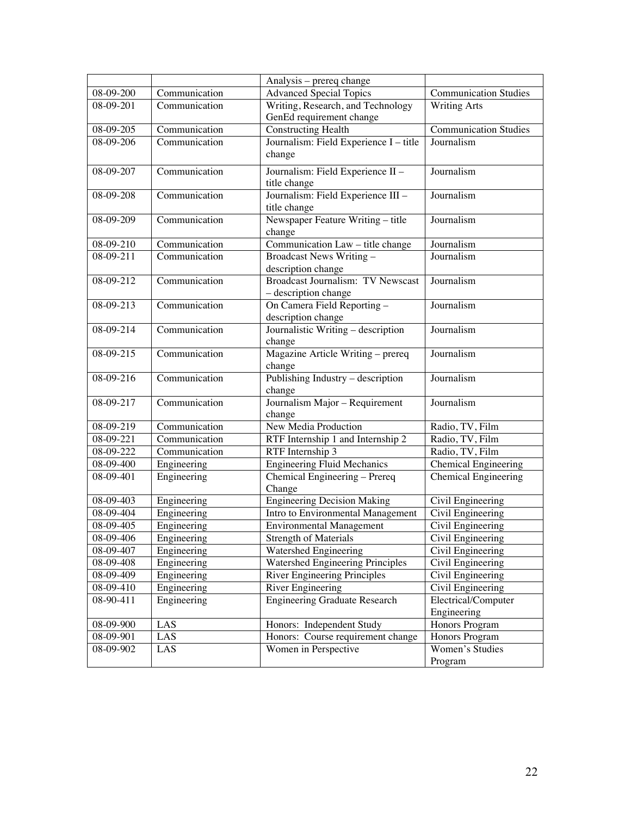|           |               | Analysis - prereq change                    |                               |
|-----------|---------------|---------------------------------------------|-------------------------------|
| 08-09-200 | Communication | <b>Advanced Special Topics</b>              | <b>Communication Studies</b>  |
| 08-09-201 | Communication | Writing, Research, and Technology           | <b>Writing Arts</b>           |
|           |               | GenEd requirement change                    |                               |
| 08-09-205 | Communication | Constructing Health                         | <b>Communication Studies</b>  |
| 08-09-206 | Communication | Journalism: Field Experience I - title      | Journalism                    |
|           |               | change                                      |                               |
| 08-09-207 | Communication | Journalism: Field Experience II -           | Journalism                    |
|           |               | title change                                |                               |
| 08-09-208 | Communication | Journalism: Field Experience III -          | Journalism                    |
|           |               | title change                                |                               |
| 08-09-209 | Communication | Newspaper Feature Writing - title           | Journalism                    |
|           |               | change                                      |                               |
| 08-09-210 | Communication | Communication Law - title change            | Journalism                    |
| 08-09-211 | Communication | Broadcast News Writing -                    | Journalism                    |
|           |               | description change                          |                               |
| 08-09-212 | Communication | <b>Broadcast Journalism: TV Newscast</b>    | Journalism                    |
|           |               | - description change                        |                               |
| 08-09-213 | Communication | On Camera Field Reporting -                 | Journalism                    |
|           |               | description change                          |                               |
| 08-09-214 | Communication | Journalistic Writing - description          | Journalism                    |
| 08-09-215 | Communication | change                                      | Journalism                    |
|           |               | Magazine Article Writing - prereq<br>change |                               |
| 08-09-216 | Communication | Publishing Industry - description           | Journalism                    |
|           |               | change                                      |                               |
| 08-09-217 | Communication | Journalism Major - Requirement              | Journalism                    |
|           |               | change                                      |                               |
| 08-09-219 | Communication | New Media Production                        | Radio, TV, Film               |
| 08-09-221 | Communication | RTF Internship 1 and Internship 2           | Radio, TV, Film               |
| 08-09-222 | Communication | RTF Internship 3                            | Radio, TV, Film               |
| 08-09-400 | Engineering   | <b>Engineering Fluid Mechanics</b>          | Chemical Engineering          |
| 08-09-401 | Engineering   | Chemical Engineering - Prereq               | Chemical Engineering          |
|           |               | Change                                      |                               |
| 08-09-403 | Engineering   | Engineering Decision Making                 | Civil Engineering             |
| 08-09-404 | Engineering   | Intro to Environmental Management           | Civil Engineering             |
| 08-09-405 | Engineering   | <b>Environmental Management</b>             | Civil Engineering             |
| 08-09-406 | Engineering   | Strength of Materials                       | Civil Engineering             |
| 08-09-407 | Engineering   | Watershed Engineering                       | Civil Engineering             |
| 08-09-408 | Engineering   | Watershed Engineering Principles            | Civil Engineering             |
| 08-09-409 | Engineering   | River Engineering Principles                | Civil Engineering             |
| 08-09-410 | Engineering   | River Engineering                           | Civil Engineering             |
| 08-90-411 | Engineering   | <b>Engineering Graduate Research</b>        | Electrical/Computer           |
| 08-09-900 | LAS           | Honors: Independent Study                   | Engineering<br>Honors Program |
| 08-09-901 | LAS           | Honors: Course requirement change           | Honors Program                |
| 08-09-902 | LAS           | Women in Perspective                        | Women's Studies               |
|           |               |                                             | Program                       |
|           |               |                                             |                               |